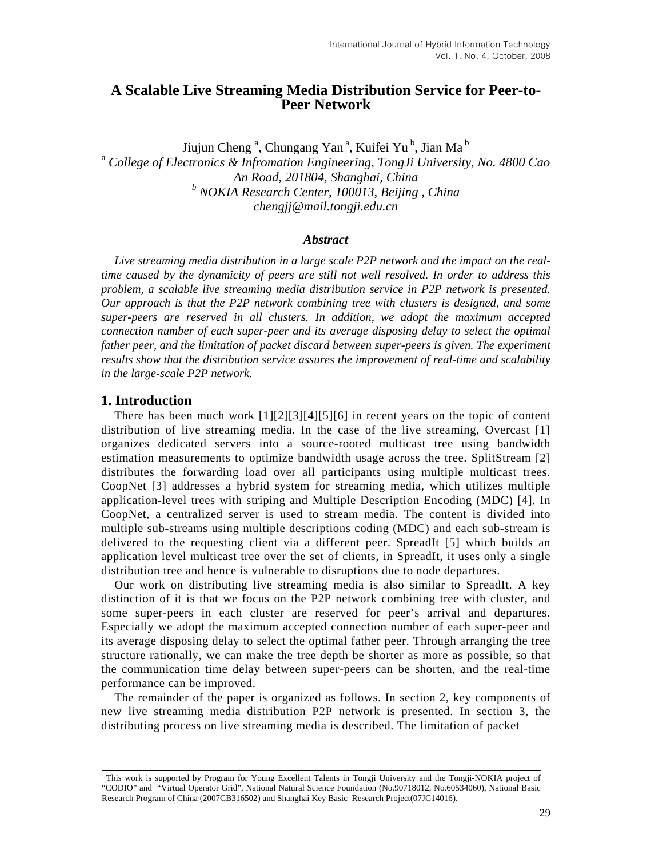# **A Scalable Live Streaming Media Distribution Service for Peer-to-Peer Network**

Jiujun Cheng<sup>a</sup>, Chungang Yan<sup>a</sup>, Kuifei Yu<sup>b</sup>, Jian Ma<sup>b</sup> a  *College of Electronics & Infromation Engineering, TongJi University, No. 4800 Cao An Road, 201804, Shanghai, China b NOKIA Research Center, 100013, Beijing , China chengjj@mail.tongji.edu.cn* 

#### *Abstract*

*Live streaming media distribution in a large scale P2P network and the impact on the realtime caused by the dynamicity of peers are still not well resolved. In order to address this problem, a scalable live streaming media distribution service in P2P network is presented. Our approach is that the P2P network combining tree with clusters is designed, and some super-peers are reserved in all clusters. In addition, we adopt the maximum accepted connection number of each super-peer and its average disposing delay to select the optimal father peer, and the limitation of packet discard between super-peers is given. The experiment results show that the distribution service assures the improvement of real-time and scalability in the large-scale P2P network.* 

## **1. Introduction**

There has been much work [1][2][3][4][5][6] in recent years on the topic of content distribution of live streaming media. In the case of the live streaming, Overcast [1] organizes dedicated servers into a source-rooted multicast tree using bandwidth estimation measurements to optimize bandwidth usage across the tree. SplitStream [2] distributes the forwarding load over all participants using multiple multicast trees. CoopNet [3] addresses a hybrid system for streaming media, which utilizes multiple application-level trees with striping and Multiple Description Encoding (MDC) [4]. In CoopNet, a centralized server is used to stream media. The content is divided into multiple sub-streams using multiple descriptions coding (MDC) and each sub-stream is delivered to the requesting client via a different peer. SpreadIt [5] which builds an application level multicast tree over the set of clients, in SpreadIt, it uses only a single distribution tree and hence is vulnerable to disruptions due to node departures.

Our work on distributing live streaming media is also similar to SpreadIt. A key distinction of it is that we focus on the P2P network combining tree with cluster, and some super-peers in each cluster are reserved for peer's arrival and departures. Especially we adopt the maximum accepted connection number of each super-peer and its average disposing delay to select the optimal father peer. Through arranging the tree structure rationally, we can make the tree depth be shorter as more as possible, so that the communication time delay between super-peers can be shorten, and the real-time performance can be improved.

The remainder of the paper is organized as follows. In section 2, key components of new live streaming media distribution P2P network is presented. In section 3, the distributing process on live streaming media is described. The limitation of packet

This work is supported by Program for Young Excellent Talents in Tongji University and the Tongji-NOKIA project of "CODIO" and "Virtual Operator Grid", National Natural Science Foundation (No.90718012, No.60534060), National Basic Research Program of China (2007CB316502) and Shanghai Key Basic Research Project(07JC14016).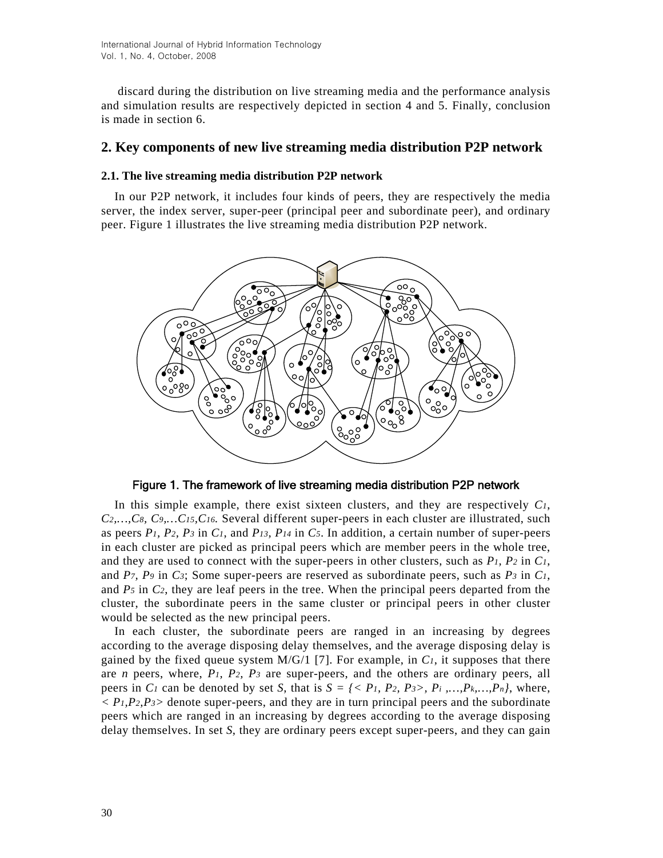discard during the distribution on live streaming media and the performance analysis and simulation results are respectively depicted in section 4 and 5. Finally, conclusion is made in section 6.

# **2. Key components of new live streaming media distribution P2P network**

## **2.1. The live streaming media distribution P2P network**

In our P2P network, it includes four kinds of peers, they are respectively the media server, the index server, super-peer (principal peer and subordinate peer), and ordinary peer. Figure 1 illustrates the live streaming media distribution P2P network.



Figure 1. The framework of live streaming media distribution P2P network

In this simple example, there exist sixteen clusters, and they are respectively *C1*, *C2,…,C8, C9,…C15,C16.* Several different super-peers in each cluster are illustrated, such as peers *P1, P2, P3* in *C1*, and *P13, P14* in *C5*. In addition, a certain number of super-peers in each cluster are picked as principal peers which are member peers in the whole tree, and they are used to connect with the super-peers in other clusters, such as *P1, P2* in *C1*, and *P7, P9* in *C3*; Some super-peers are reserved as subordinate peers, such as *P3* in *C1*, and *P5* in *C2*, they are leaf peers in the tree. When the principal peers departed from the cluster, the subordinate peers in the same cluster or principal peers in other cluster would be selected as the new principal peers.

In each cluster, the subordinate peers are ranged in an increasing by degrees according to the average disposing delay themselves, and the average disposing delay is gained by the fixed queue system  $M/G/1$  [7]. For example, in  $C<sub>1</sub>$ , it supposes that there are *n* peers, where, *P1, P2, P3* are super-peers, and the others are ordinary peers, all peers in *C<sub>1</sub>* can be denoted by set *S*, that is  $S = \{ \langle P_1, P_2, P_3 \rangle, P_i, ..., P_k, ..., P_n \}$ , where,  $\langle P_1, P_2, P_3 \rangle$  denote super-peers, and they are in turn principal peers and the subordinate peers which are ranged in an increasing by degrees according to the average disposing delay themselves. In set *S*, they are ordinary peers except super-peers, and they can gain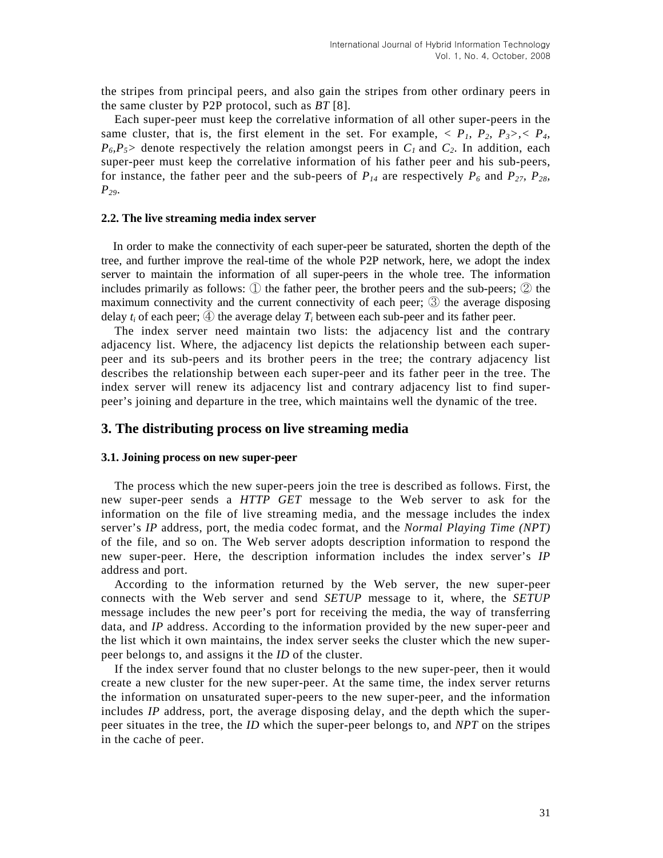the stripes from principal peers, and also gain the stripes from other ordinary peers in the same cluster by P2P protocol, such as *BT* [8].

Each super-peer must keep the correlative information of all other super-peers in the same cluster, that is, the first element in the set. For example,  $\langle P_1, P_2, P_3 \rangle, \langle P_4, P_5 \rangle$  $P_6, P_5$  denote respectively the relation amongst peers in  $C_1$  and  $C_2$ . In addition, each super-peer must keep the correlative information of his father peer and his sub-peers, for instance, the father peer and the sub-peers of  $P_{14}$  are respectively  $P_6$  and  $P_{27}$ ,  $P_{28}$ , *P29*.

#### **2.2. The live streaming media index server**

In order to make the connectivity of each super-peer be saturated, shorten the depth of the tree, and further improve the real-time of the whole P2P network, here, we adopt the index server to maintain the information of all super-peers in the whole tree. The information includes primarily as follows: ① the father peer, the brother peers and the sub-peers; ② the maximum connectivity and the current connectivity of each peer; ③ the average disposing delay  $t_i$  of each peer;  $\bigoplus$  the average delay  $T_i$  between each sub-peer and its father peer.

The index server need maintain two lists: the adjacency list and the contrary adjacency list. Where, the adjacency list depicts the relationship between each superpeer and its sub-peers and its brother peers in the tree; the contrary adjacency list describes the relationship between each super-peer and its father peer in the tree. The index server will renew its adjacency list and contrary adjacency list to find superpeer's joining and departure in the tree, which maintains well the dynamic of the tree.

## **3. The distributing process on live streaming media**

#### **3.1. Joining process on new super-peer**

The process which the new super-peers join the tree is described as follows. First, the new super-peer sends a *HTTP GET* message to the Web server to ask for the information on the file of live streaming media, and the message includes the index server's *IP* address, port, the media codec format, and the *Normal Playing Time (NPT)*  of the file, and so on. The Web server adopts description information to respond the new super-peer. Here, the description information includes the index server's *IP* address and port.

According to the information returned by the Web server, the new super-peer connects with the Web server and send *SETUP* message to it, where, the *SETUP*  message includes the new peer's port for receiving the media, the way of transferring data, and *IP* address. According to the information provided by the new super-peer and the list which it own maintains, the index server seeks the cluster which the new superpeer belongs to, and assigns it the *ID* of the cluster.

If the index server found that no cluster belongs to the new super-peer, then it would create a new cluster for the new super-peer. At the same time, the index server returns the information on unsaturated super-peers to the new super-peer, and the information includes *IP* address, port, the average disposing delay, and the depth which the superpeer situates in the tree, the *ID* which the super-peer belongs to, and *NPT* on the stripes in the cache of peer.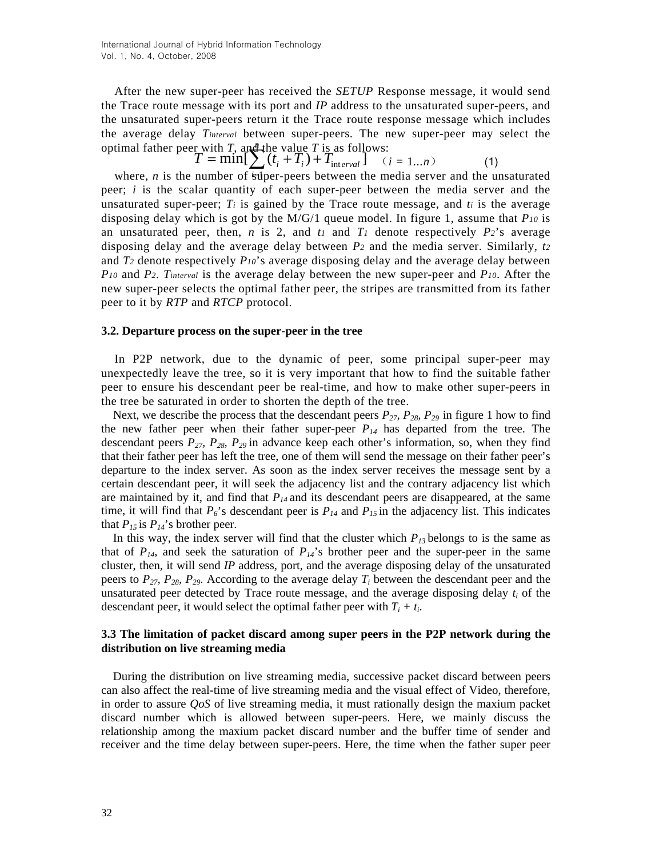optimal father peer with *T*, and the value *T* is as follows:<br>  $T = \min[\sum_{i} (t_i + T_i) + T_{interval}]$  (*i* After the new super-peer has received the *SETUP* Response message, it would send the Trace route message with its port and *IP* address to the unsaturated super-peers, and the unsaturated super-peers return it the Trace route response message which includes the average delay *Tinterval* between super-peers. The new super-peer may select the

$$
T = \min[\sum_{i} (t_i + T_i) + T_{\text{interval}}] \quad (i = 1...n)
$$
 (1)

where, *n* is the number of super-peers between the media server and the unsaturated peer; *i* is the scalar quantity of each super-peer between the media server and the unsaturated super-peer;  $T_i$  is gained by the Trace route message, and  $t_i$  is the average disposing delay which is got by the M/G/1 queue model. In figure 1, assume that *P10* is an unsaturated peer, then,  $n$  is 2, and  $t_1$  and  $T_1$  denote respectively  $P_2$ 's average disposing delay and the average delay between *P2* and the media server. Similarly, *t2* and *T2* denote respectively *P10*'s average disposing delay and the average delay between *P10* and *P2*. *Tinterval* is the average delay between the new super-peer and *P10*. After the new super-peer selects the optimal father peer, the stripes are transmitted from its father peer to it by *RTP* and *RTCP* protocol.

#### **3.2. Departure process on the super-peer in the tree**

In P2P network, due to the dynamic of peer, some principal super-peer may unexpectedly leave the tree, so it is very important that how to find the suitable father peer to ensure his descendant peer be real-time, and how to make other super-peers in the tree be saturated in order to shorten the depth of the tree.

Next, we describe the process that the descendant peers  $P_{27}$ ,  $P_{28}$ ,  $P_{29}$  in figure 1 how to find the new father peer when their father super-peer  $P_{14}$  has departed from the tree. The descendant peers *P27, P28, P29* in advance keep each other's information, so, when they find that their father peer has left the tree, one of them will send the message on their father peer's departure to the index server. As soon as the index server receives the message sent by a certain descendant peer, it will seek the adjacency list and the contrary adjacency list which are maintained by it, and find that  $P_{14}$  and its descendant peers are disappeared, at the same time, it will find that  $P_6$ 's descendant peer is  $P_{14}$  and  $P_{15}$  in the adjacency list. This indicates that  $P_{15}$  is  $P_{14}$ 's brother peer.

In this way, the index server will find that the cluster which  $P_{13}$  belongs to is the same as that of  $P_{14}$ , and seek the saturation of  $P_{14}$ 's brother peer and the super-peer in the same cluster, then, it will send *IP* address, port, and the average disposing delay of the unsaturated peers to  $P_{27}$ ,  $P_{28}$ ,  $P_{29}$ . According to the average delay  $T_i$  between the descendant peer and the unsaturated peer detected by Trace route message, and the average disposing delay  $t_i$  of the descendant peer, it would select the optimal father peer with  $T_i + t_i$ .

### **3.3 The limitation of packet discard among super peers in the P2P network during the distribution on live streaming media**

During the distribution on live streaming media, successive packet discard between peers can also affect the real-time of live streaming media and the visual effect of Video, therefore, in order to assure *QoS* of live streaming media, it must rationally design the maxium packet discard number which is allowed between super-peers. Here, we mainly discuss the relationship among the maxium packet discard number and the buffer time of sender and receiver and the time delay between super-peers. Here, the time when the father super peer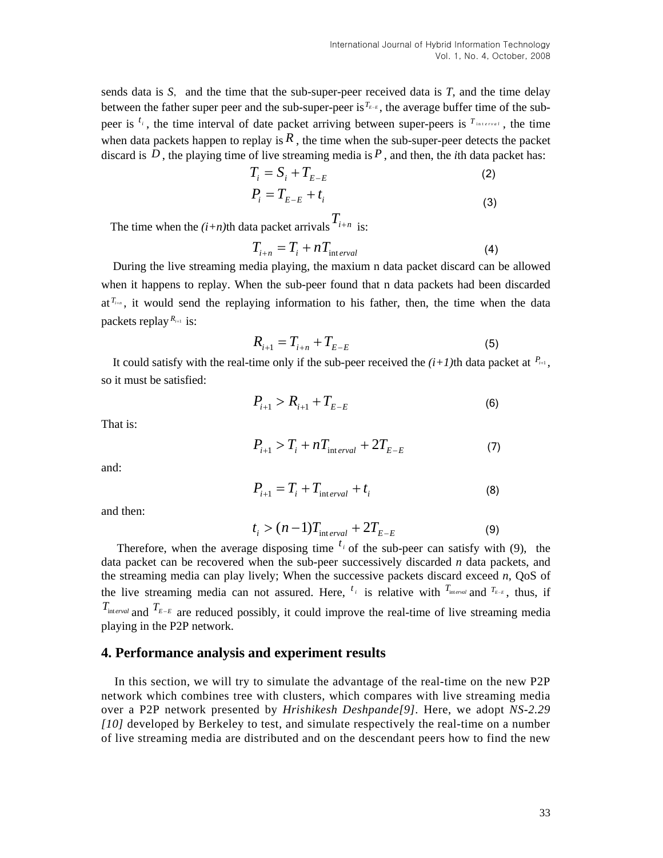sends data is  $S$ , and the time that the sub-super-peer received data is  $T$ , and the time delay between the father super peer and the sub-super-peer is<sup> $T_{E-E}$ </sup>, the average buffer time of the subpeer is  $t_i$ , the time interval of date packet arriving between super-peers is  $T_{interval}$ , the time when data packets happen to replay is  $R$ , the time when the sub-super-peer detects the packet discard is  $D$ , the playing time of live streaming media is  $P$ , and then, the *i*th data packet has:

$$
T_i = S_i + T_{E-E} \tag{2}
$$

$$
P_i = T_{E-E} + t_i
$$
\n(3)

The time when the  $(i+n)$ th data packet arrivals  $T_{i+n}$  is:

$$
T_{i+n} = T_i + nT_{\text{interval}}
$$
 (4)

During the live streaming media playing, the maxium n data packet discard can be allowed when it happens to replay. When the sub-peer found that n data packets had been discarded at<sup> $T_{i+n}$ </sup>, it would send the replaying information to his father, then, the time when the data packets replay  $R_{i+1}$  is:

$$
R_{i+1} = T_{i+n} + T_{E-E}
$$
 (5)

It could satisfy with the real-time only if the sub-peer received the  $(i+1)$ th data packet at  $P_{i+1}$ , so it must be satisfied:

$$
P_{i+1} > R_{i+1} + T_{E-E}
$$
 (6)

That is:

$$
P_{i+1} > T_i + nT_{\text{interval}} + 2T_{E-E} \tag{7}
$$

and:

$$
P_{i+1} = T_i + T_{\text{interval}} + t_i \tag{8}
$$

and then:

$$
t_i > (n-1)T_{\text{interval}} + 2T_{E-E} \tag{9}
$$

Therefore, when the average disposing time  $t_i$  of the sub-peer can satisfy with (9), the data packet can be recovered when the sub-peer successively discarded *n* data packets, and the streaming media can play lively; When the successive packets discard exceed *n*, QoS of the live streaming media can not assured. Here,  $t_i$  is relative with  $T_{interval}$  and  $T_{E-E}$ , thus, if  $T_{\text{interval}}$  and  $T_{E-E}$  are reduced possibly, it could improve the real-time of live streaming media playing in the P2P network.

## **4. Performance analysis and experiment results**

In this section, we will try to simulate the advantage of the real-time on the new P2P network which combines tree with clusters, which compares with live streaming media over a P2P network presented by *Hrishikesh Deshpande[9].* Here, we adopt *NS-2.29 [10]* developed by Berkeley to test, and simulate respectively the real-time on a number of live streaming media are distributed and on the descendant peers how to find the new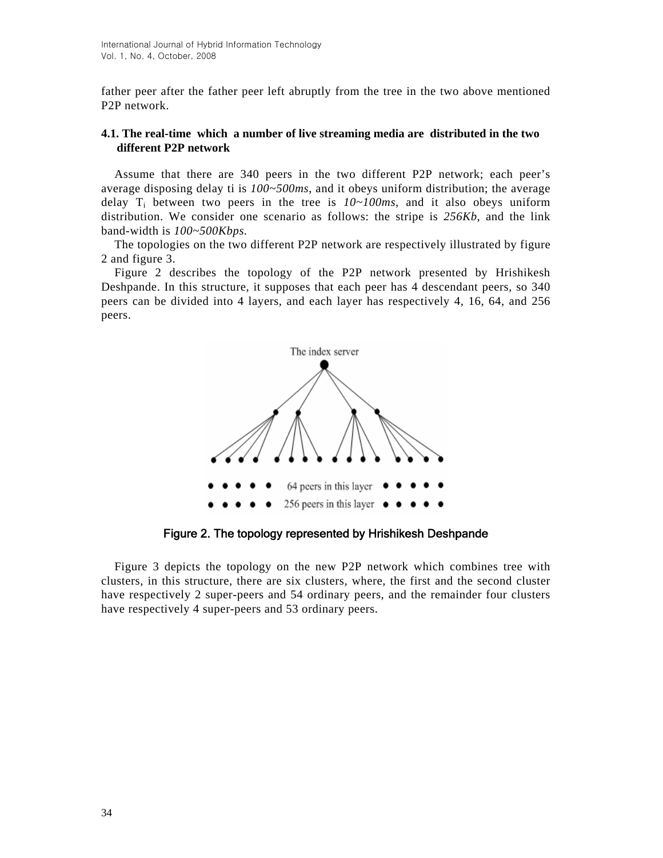father peer after the father peer left abruptly from the tree in the two above mentioned P2P network.

# **4.1. The real-time which a number of live streaming media are distributed in the two different P2P network**

Assume that there are 340 peers in the two different P2P network; each peer's average disposing delay ti is *100~500ms*, and it obeys uniform distribution; the average delay  $T_i$  between two peers in the tree is  $10 \sim 100 \text{ms}$ , and it also obeys uniform distribution. We consider one scenario as follows: the stripe is *256Kb*, and the link band-width is *100~500Kbps.*

The topologies on the two different P2P network are respectively illustrated by figure 2 and figure 3.

Figure 2 describes the topology of the P2P network presented by Hrishikesh Deshpande. In this structure, it supposes that each peer has 4 descendant peers, so 340 peers can be divided into 4 layers, and each layer has respectively 4, 16, 64, and 256 peers.



Figure 2. The topology represented by Hrishikesh Deshpande

Figure 3 depicts the topology on the new P2P network which combines tree with clusters, in this structure, there are six clusters, where, the first and the second cluster have respectively 2 super-peers and 54 ordinary peers, and the remainder four clusters have respectively 4 super-peers and 53 ordinary peers.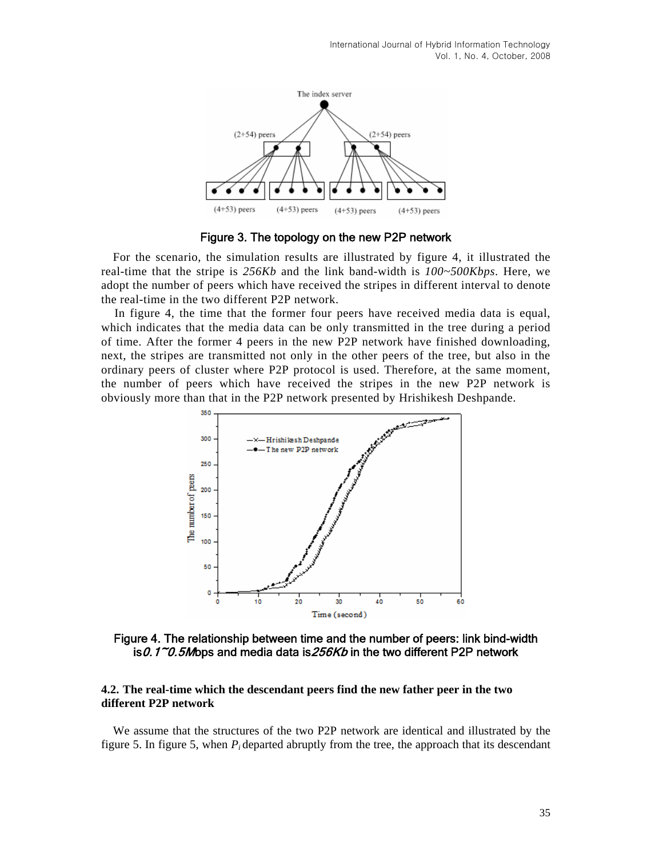

Figure 3. The topology on the new P2P network

For the scenario, the simulation results are illustrated by figure 4, it illustrated the real-time that the stripe is *256Kb* and the link band-width is *100~500Kbps*. Here, we adopt the number of peers which have received the stripes in different interval to denote the real-time in the two different P2P network.

In figure 4, the time that the former four peers have received media data is equal, which indicates that the media data can be only transmitted in the tree during a period of time. After the former 4 peers in the new P2P network have finished downloading, next, the stripes are transmitted not only in the other peers of the tree, but also in the ordinary peers of cluster where P2P protocol is used. Therefore, at the same moment, the number of peers which have received the stripes in the new P2P network is obviously more than that in the P2P network presented by Hrishikesh Deshpande.



Figure 4. The relationship between time and the number of peers: link bind-width is0.1~0.5Mbps and media data is256Kb in the two different P2P network

### **4.2. The real-time which the descendant peers find the new father peer in the two different P2P network**

We assume that the structures of the two P2P network are identical and illustrated by the figure 5. In figure 5, when  $P_i$  departed abruptly from the tree, the approach that its descendant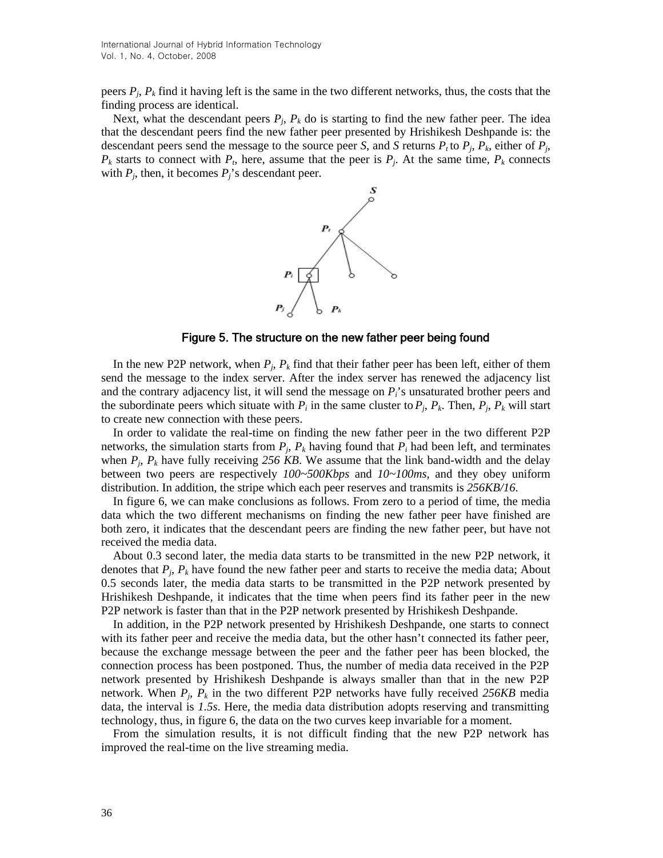peers *Pj*, *Pk* find it having left is the same in the two different networks, thus, the costs that the finding process are identical.

Next, what the descendant peers  $P_i$ ,  $P_k$  do is starting to find the new father peer. The idea that the descendant peers find the new father peer presented by Hrishikesh Deshpande is: the descendant peers send the message to the source peer *S*, and *S* returns  $P_t$  to  $P_j$ ,  $P_k$ , either of  $P_j$ ,  $P_k$  starts to connect with  $P_t$ , here, assume that the peer is  $P_i$ . At the same time,  $P_k$  connects with  $P_i$ , then, it becomes  $P_i$ 's descendant peer.



Figure 5. The structure on the new father peer being found

In the new P2P network, when *Pj*, *Pk* find that their father peer has been left, either of them send the message to the index server. After the index server has renewed the adjacency list and the contrary adjacency list, it will send the message on *Pi*'s unsaturated brother peers and the subordinate peers which situate with  $P_i$  in the same cluster to  $P_j$ ,  $P_k$ . Then,  $P_j$ ,  $P_k$  will start to create new connection with these peers.

In order to validate the real-time on finding the new father peer in the two different P2P networks, the simulation starts from  $P_i$ ,  $P_k$  having found that  $P_i$  had been left, and terminates when  $P_i$ ,  $P_k$  have fully receiving 256 KB. We assume that the link band-width and the delay between two peers are respectively *100~500Kbps* and *10~100ms*, and they obey uniform distribution. In addition, the stripe which each peer reserves and transmits is *256KB/16*.

In figure 6, we can make conclusions as follows. From zero to a period of time, the media data which the two different mechanisms on finding the new father peer have finished are both zero, it indicates that the descendant peers are finding the new father peer, but have not received the media data.

About 0.3 second later, the media data starts to be transmitted in the new P2P network, it denotes that *Pj*, *Pk* have found the new father peer and starts to receive the media data; About 0.5 seconds later, the media data starts to be transmitted in the P2P network presented by Hrishikesh Deshpande, it indicates that the time when peers find its father peer in the new P2P network is faster than that in the P2P network presented by Hrishikesh Deshpande.

In addition, in the P2P network presented by Hrishikesh Deshpande, one starts to connect with its father peer and receive the media data, but the other hasn't connected its father peer, because the exchange message between the peer and the father peer has been blocked, the connection process has been postponed. Thus, the number of media data received in the P2P network presented by Hrishikesh Deshpande is always smaller than that in the new P2P network. When  $P_i$ ,  $P_k$  in the two different P2P networks have fully received 256KB media data, the interval is *1.5s*. Here, the media data distribution adopts reserving and transmitting technology, thus, in figure 6, the data on the two curves keep invariable for a moment.

From the simulation results, it is not difficult finding that the new P2P network has improved the real-time on the live streaming media.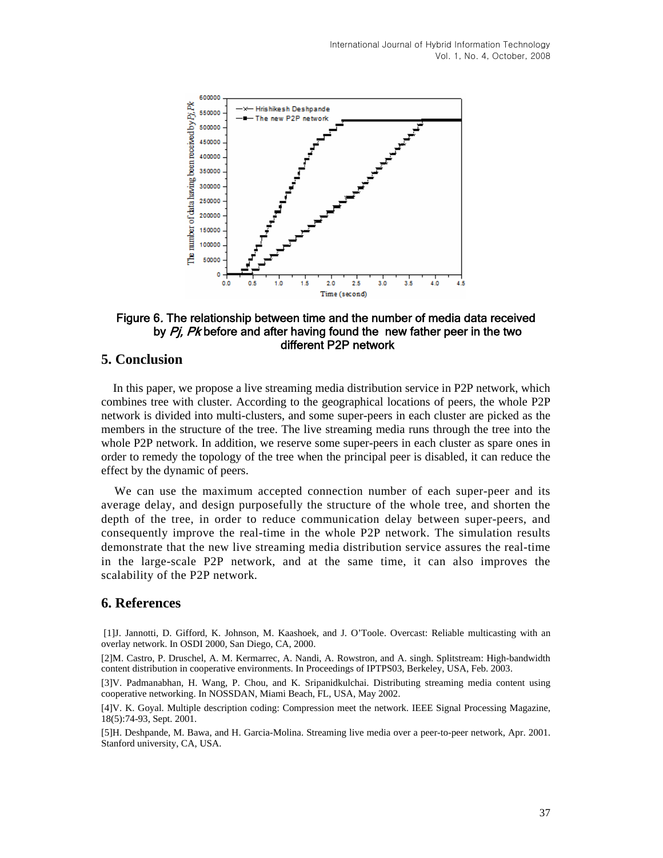

## Figure 6. The relationship between time and the number of media data received by Pi, Pk before and after having found the new father peer in the two different P2P network

# **5. Conclusion**

In this paper, we propose a live streaming media distribution service in P2P network, which combines tree with cluster. According to the geographical locations of peers, the whole P2P network is divided into multi-clusters, and some super-peers in each cluster are picked as the members in the structure of the tree. The live streaming media runs through the tree into the whole P2P network. In addition, we reserve some super-peers in each cluster as spare ones in order to remedy the topology of the tree when the principal peer is disabled, it can reduce the effect by the dynamic of peers.

We can use the maximum accepted connection number of each super-peer and its average delay, and design purposefully the structure of the whole tree, and shorten the depth of the tree, in order to reduce communication delay between super-peers, and consequently improve the real-time in the whole P2P network. The simulation results demonstrate that the new live streaming media distribution service assures the real-time in the large-scale P2P network, and at the same time, it can also improves the scalability of the P2P network*.*

## **6. References**

 [1]J. Jannotti, D. Gifford, K. Johnson, M. Kaashoek, and J. O'Toole. Overcast: Reliable multicasting with an overlay network. In OSDI 2000, San Diego, CA, 2000.

[2]M. Castro, P. Druschel, A. M. Kermarrec, A. Nandi, A. Rowstron, and A. singh. Splitstream: High-bandwidth content distribution in cooperative environments. In Proceedings of IPTPS03, Berkeley, USA, Feb. 2003.

[3]V. Padmanabhan, H. Wang, P. Chou, and K. Sripanidkulchai. Distributing streaming media content using cooperative networking. In NOSSDAN, Miami Beach, FL, USA, May 2002.

[4]V. K. Goyal. Multiple description coding: Compression meet the network. IEEE Signal Processing Magazine, 18(5):74-93, Sept. 2001.

[5]H. Deshpande, M. Bawa, and H. Garcia-Molina. Streaming live media over a peer-to-peer network, Apr. 2001. Stanford university, CA, USA.